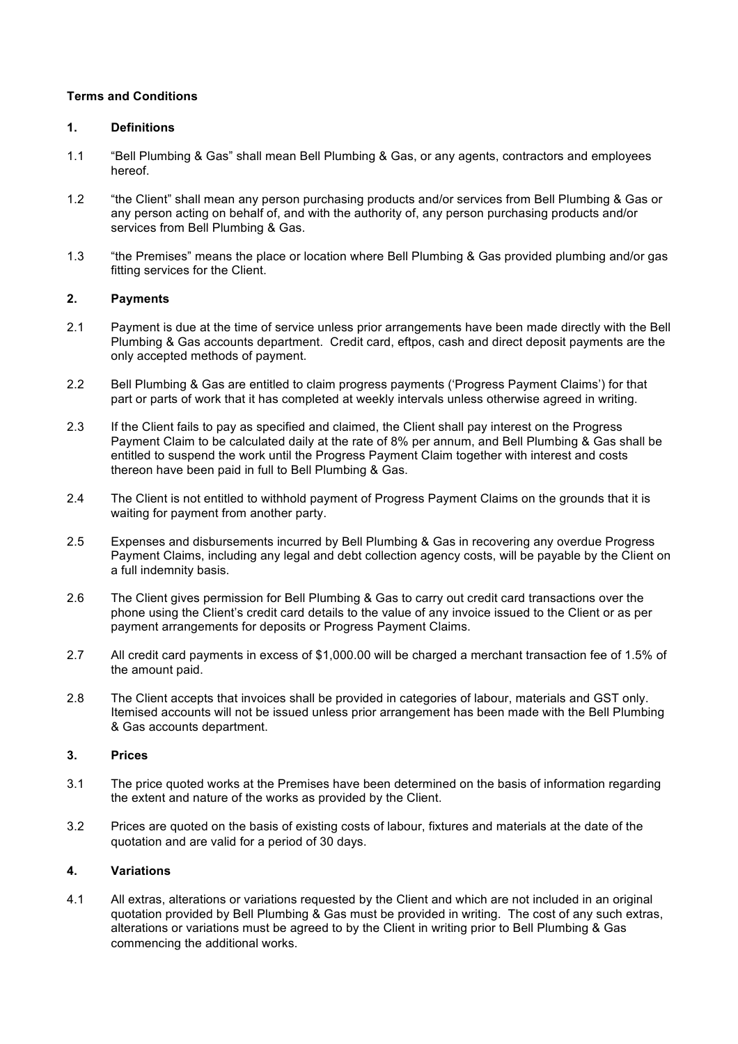## **Terms and Conditions**

### **1. Definitions**

- 1.1 "Bell Plumbing & Gas" shall mean Bell Plumbing & Gas, or any agents, contractors and employees hereof.
- 1.2 "the Client" shall mean any person purchasing products and/or services from Bell Plumbing & Gas or any person acting on behalf of, and with the authority of, any person purchasing products and/or services from Bell Plumbing & Gas.
- 1.3 "the Premises" means the place or location where Bell Plumbing & Gas provided plumbing and/or gas fitting services for the Client.

## **2. Payments**

- 2.1 Payment is due at the time of service unless prior arrangements have been made directly with the Bell Plumbing & Gas accounts department. Credit card, eftpos, cash and direct deposit payments are the only accepted methods of payment.
- 2.2 Bell Plumbing & Gas are entitled to claim progress payments ('Progress Payment Claims') for that part or parts of work that it has completed at weekly intervals unless otherwise agreed in writing.
- 2.3 If the Client fails to pay as specified and claimed, the Client shall pay interest on the Progress Payment Claim to be calculated daily at the rate of 8% per annum, and Bell Plumbing & Gas shall be entitled to suspend the work until the Progress Payment Claim together with interest and costs thereon have been paid in full to Bell Plumbing & Gas.
- 2.4 The Client is not entitled to withhold payment of Progress Payment Claims on the grounds that it is waiting for payment from another party.
- 2.5 Expenses and disbursements incurred by Bell Plumbing & Gas in recovering any overdue Progress Payment Claims, including any legal and debt collection agency costs, will be payable by the Client on a full indemnity basis.
- 2.6 The Client gives permission for Bell Plumbing & Gas to carry out credit card transactions over the phone using the Client's credit card details to the value of any invoice issued to the Client or as per payment arrangements for deposits or Progress Payment Claims.
- 2.7 All credit card payments in excess of \$1,000.00 will be charged a merchant transaction fee of 1.5% of the amount paid.
- 2.8 The Client accepts that invoices shall be provided in categories of labour, materials and GST only. Itemised accounts will not be issued unless prior arrangement has been made with the Bell Plumbing & Gas accounts department.

#### **3. Prices**

- 3.1 The price quoted works at the Premises have been determined on the basis of information regarding the extent and nature of the works as provided by the Client.
- 3.2 Prices are quoted on the basis of existing costs of labour, fixtures and materials at the date of the quotation and are valid for a period of 30 days.

#### **4. Variations**

4.1 All extras, alterations or variations requested by the Client and which are not included in an original quotation provided by Bell Plumbing & Gas must be provided in writing. The cost of any such extras, alterations or variations must be agreed to by the Client in writing prior to Bell Plumbing & Gas commencing the additional works.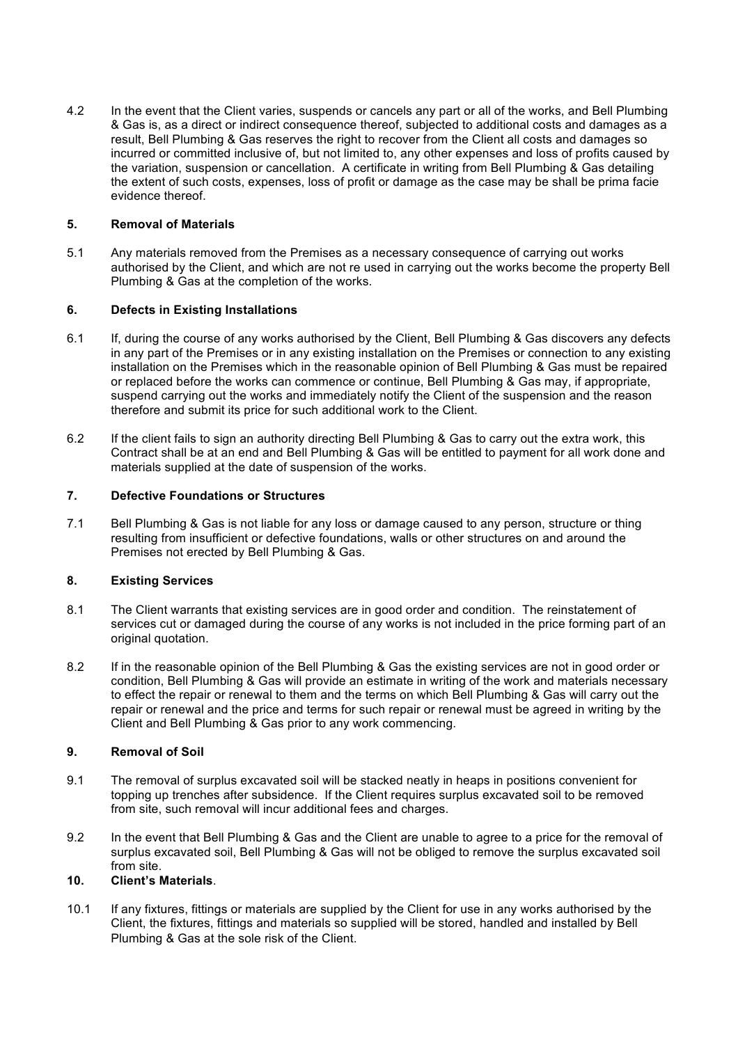4.2 In the event that the Client varies, suspends or cancels any part or all of the works, and Bell Plumbing & Gas is, as a direct or indirect consequence thereof, subjected to additional costs and damages as a result, Bell Plumbing & Gas reserves the right to recover from the Client all costs and damages so incurred or committed inclusive of, but not limited to, any other expenses and loss of profits caused by the variation, suspension or cancellation. A certificate in writing from Bell Plumbing & Gas detailing the extent of such costs, expenses, loss of profit or damage as the case may be shall be prima facie evidence thereof.

## **5. Removal of Materials**

5.1 Any materials removed from the Premises as a necessary consequence of carrying out works authorised by the Client, and which are not re used in carrying out the works become the property Bell Plumbing & Gas at the completion of the works.

## **6. Defects in Existing Installations**

- 6.1 If, during the course of any works authorised by the Client, Bell Plumbing & Gas discovers any defects in any part of the Premises or in any existing installation on the Premises or connection to any existing installation on the Premises which in the reasonable opinion of Bell Plumbing & Gas must be repaired or replaced before the works can commence or continue, Bell Plumbing & Gas may, if appropriate, suspend carrying out the works and immediately notify the Client of the suspension and the reason therefore and submit its price for such additional work to the Client.
- 6.2 If the client fails to sign an authority directing Bell Plumbing & Gas to carry out the extra work, this Contract shall be at an end and Bell Plumbing & Gas will be entitled to payment for all work done and materials supplied at the date of suspension of the works.

## **7. Defective&Foundations&or&Structures**

7.1 Bell Plumbing & Gas is not liable for any loss or damage caused to any person, structure or thing resulting from insufficient or defective foundations, walls or other structures on and around the Premises not erected by Bell Plumbing & Gas.

# 8. **Existing Services**

- 8.1 The Client warrants that existing services are in good order and condition. The reinstatement of services cut or damaged during the course of any works is not included in the price forming part of an original quotation.#
- 8.2 If in the reasonable opinion of the Bell Plumbing & Gas the existing services are not in good order or condition, Bell Plumbing & Gas will provide an estimate in writing of the work and materials necessary to effect the repair or renewal to them and the terms on which Bell Plumbing & Gas will carry out the repair or renewal and the price and terms for such repair or renewal must be agreed in writing by the Client and Bell Plumbing & Gas prior to any work commencing.

# **9. Removal of Soil**

- 9.1 The removal of surplus excavated soil will be stacked neatly in heaps in positions convenient for topping up trenches after subsidence. If the Client requires surplus excavated soil to be removed from site, such removal will incur additional fees and charges.
- 9.2 In the event that Bell Plumbing & Gas and the Client are unable to agree to a price for the removal of surplus excavated soil, Bell Plumbing & Gas will not be obliged to remove the surplus excavated soil from site.

#### 10. **Client's Materials.**

10.1 If any fixtures, fittings or materials are supplied by the Client for use in any works authorised by the Client, the fixtures, fittings and materials so supplied will be stored, handled and installed by Bell Plumbing & Gas at the sole risk of the Client.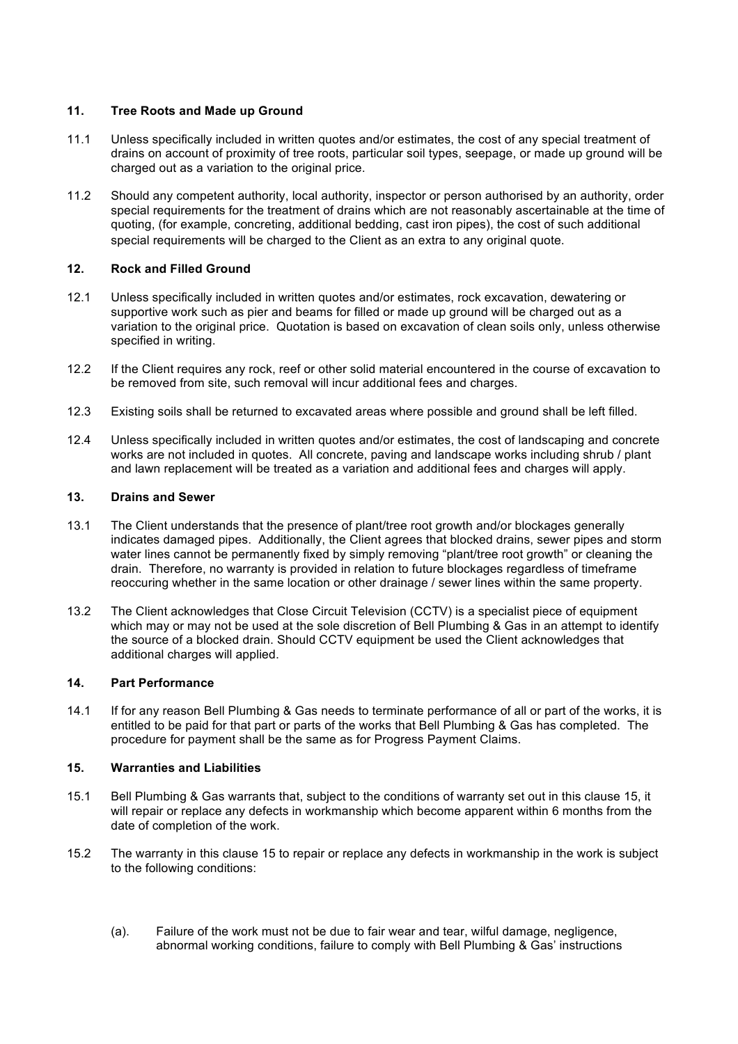# **11.** Tree Roots and Made up Ground

- 11.1 Unless specifically included in written quotes and/or estimates, the cost of any special treatment of drains on account of proximity of tree roots, particular soil types, seepage, or made up ground will be charged out as a variation to the original price.
- 11.2 Should any competent authority, local authority, inspector or person authorised by an authority, order special requirements for the treatment of drains which are not reasonably ascertainable at the time of quoting, (for example, concreting, additional bedding, cast iron pipes), the cost of such additional special requirements will be charged to the Client as an extra to any original quote.

## **12. Rock and Filled Ground**

- 12.1 Unless specifically included in written quotes and/or estimates, rock excavation, dewatering or supportive work such as pier and beams for filled or made up ground will be charged out as a variation to the original price. Quotation is based on excavation of clean soils only, unless otherwise specified in writing.
- 12.2 If the Client requires any rock, reef or other solid material encountered in the course of excavation to be removed from site, such removal will incur additional fees and charges.
- 12.3 Existing soils shall be returned to excavated areas where possible and ground shall be left filled.
- 12.4 Unless specifically included in written quotes and/or estimates, the cost of landscaping and concrete works are not included in quotes. All concrete, paving and landscape works including shrub / plant and lawn replacement will be treated as a variation and additional fees and charges will apply.

#### **13. Drains&and Sewer**

- 13.1 The Client understands that the presence of plant/tree root growth and/or blockages generally indicates damaged pipes. Additionally, the Client agrees that blocked drains, sewer pipes and storm water lines cannot be permanently fixed by simply removing "plant/tree root growth" or cleaning the drain. Therefore, no warranty is provided in relation to future blockages regardless of timeframe reoccuring whether in the same location or other drainage / sewer lines within the same property.
- 13.2 The Client acknowledges that Close Circuit Television (CCTV) is a specialist piece of equipment which may or may not be used at the sole discretion of Bell Plumbing & Gas in an attempt to identify the source of a blocked drain. Should CCTV equipment be used the Client acknowledges that additional charges will applied.

#### **14.** Part Performance

14.1 If for any reason Bell Plumbing & Gas needs to terminate performance of all or part of the works, it is entitled to be paid for that part or parts of the works that Bell Plumbing & Gas has completed. The procedure for payment shall be the same as for Progress Payment Claims.

#### **15. Warranties and Liabilities**

- 15.1 Bell Plumbing & Gas warrants that, subject to the conditions of warranty set out in this clause 15, it will repair or replace any defects in workmanship which become apparent within 6 months from the date of completion of the work.
- 15.2 The warranty in this clause 15 to repair or replace any defects in workmanship in the work is subject to the following conditions:
	- (a). Failure of the work must not be due to fair wear and tear, wilful damage, negligence, abnormal working conditions, failure to comply with Bell Plumbing & Gas' instructions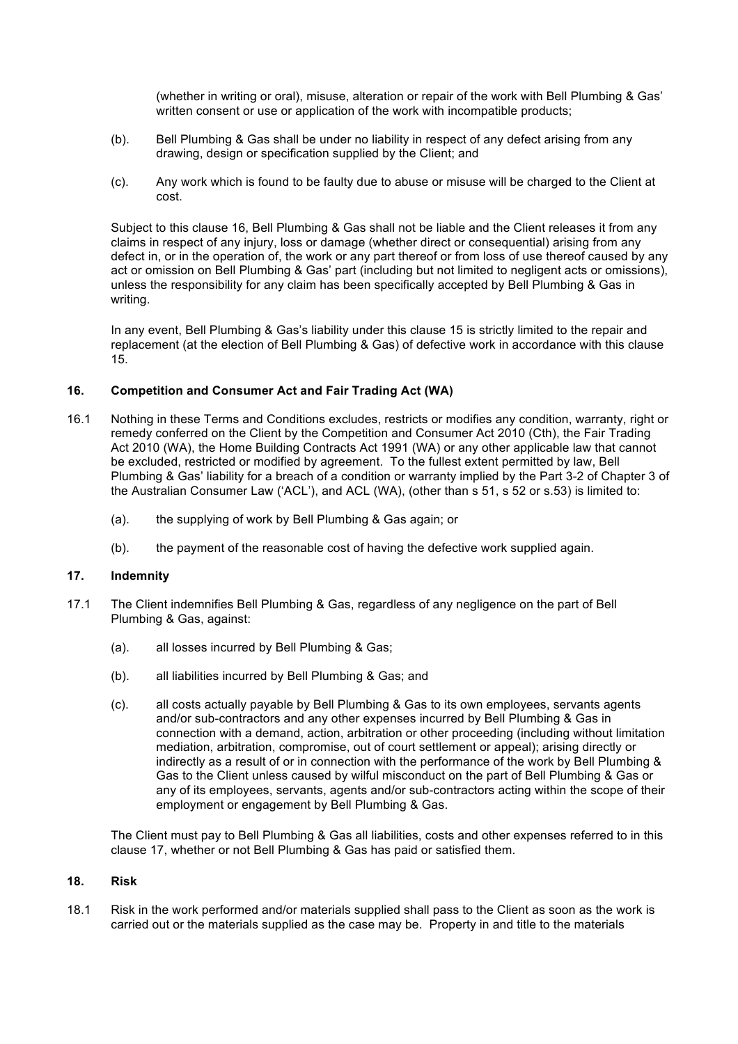(whether in writing or oral), misuse, alteration or repair of the work with Bell Plumbing & Gas' written consent or use or application of the work with incompatible products;

- (b). Bell Plumbing & Gas shall be under no liability in respect of any defect arising from any drawing, design or specification supplied by the Client; and
- (c). Any work which is found to be faulty due to abuse or misuse will be charged to the Client at cost.

Subject to this clause 16, Bell Plumbing & Gas shall not be liable and the Client releases it from any claims in respect of any injury, loss or damage (whether direct or consequential) arising from any defect in, or in the operation of, the work or any part thereof or from loss of use thereof caused by any act or omission on Bell Plumbing & Gas' part (including but not limited to negligent acts or omissions), unless the responsibility for any claim has been specifically accepted by Bell Plumbing & Gas in writing.

In any event, Bell Plumbing & Gas's liability under this clause 15 is strictly limited to the repair and replacement (at the election of Bell Plumbing & Gas) of defective work in accordance with this clause 15.#

## **16.** Competition and Consumer Act and Fair Trading Act (WA)

- 16.1 Nothing in these Terms and Conditions excludes, restricts or modifies any condition, warranty, right or remedy conferred on the Client by the Competition and Consumer Act 2010 (Cth), the Fair Trading Act 2010 (WA), the Home Building Contracts Act 1991 (WA) or any other applicable law that cannot be excluded, restricted or modified by agreement. To the fullest extent permitted by law, Bell Plumbing & Gas' liability for a breach of a condition or warranty implied by the Part 3-2 of Chapter 3 of the Australian Consumer Law ('ACL'), and ACL (WA), (other than s 51, s 52 or s.53) is limited to:
	- (a). the supplying of work by Bell Plumbing & Gas again; or
	- $(b)$ . the payment of the reasonable cost of having the defective work supplied again.

### **17. Indemnity**

- 17.1 The Client indemnifies Bell Plumbing & Gas, regardless of any negligence on the part of Bell Plumbing & Gas, against:
	- (a). all losses incurred by Bell Plumbing & Gas;
	- (b). all liabilities incurred by Bell Plumbing & Gas; and
	- (c). all costs actually payable by Bell Plumbing & Gas to its own employees, servants agents and/or sub-contractors and any other expenses incurred by Bell Plumbing & Gas in connection with a demand, action, arbitration or other proceeding (including without limitation mediation, arbitration, compromise, out of court settlement or appeal); arising directly or indirectly as a result of or in connection with the performance of the work by Bell Plumbing & Gas to the Client unless caused by wilful misconduct on the part of Bell Plumbing & Gas or any of its employees, servants, agents and/or sub-contractors acting within the scope of their employment or engagement by Bell Plumbing & Gas.

The Client must pay to Bell Plumbing & Gas all liabilities, costs and other expenses referred to in this clause 17, whether or not Bell Plumbing & Gas has paid or satisfied them.

#### **18. Risk**

18.1 Risk in the work performed and/or materials supplied shall pass to the Client as soon as the work is carried out or the materials supplied as the case may be. Property in and title to the materials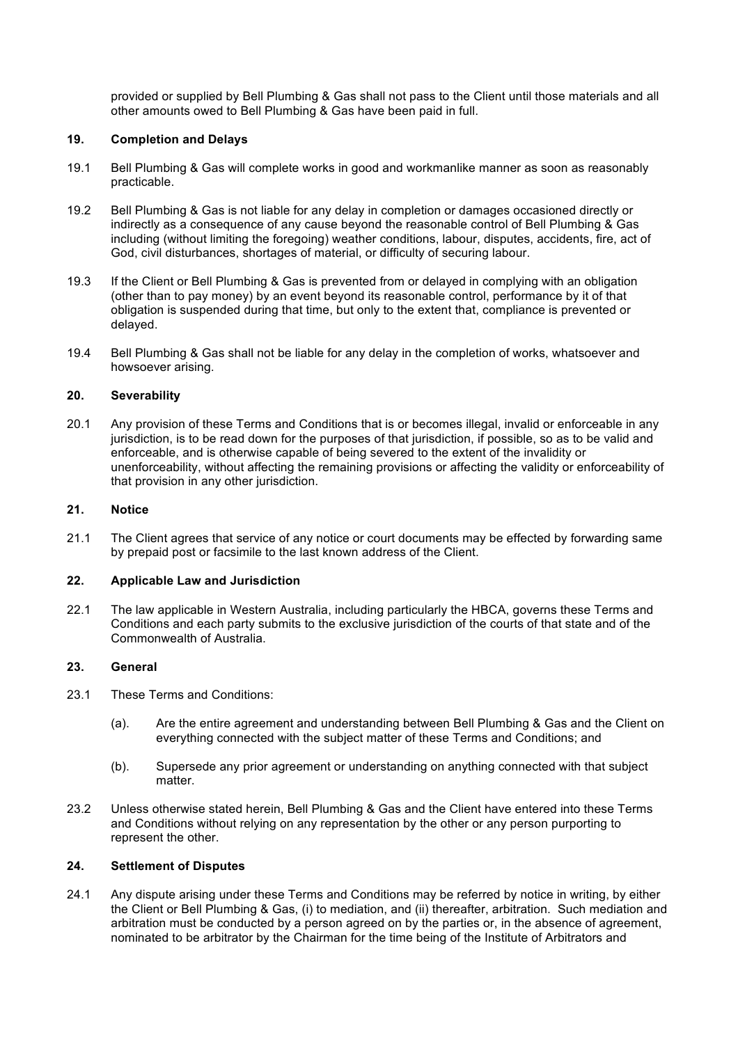provided or supplied by Bell Plumbing & Gas shall not pass to the Client until those materials and all other amounts owed to Bell Plumbing & Gas have been paid in full.

### **19. Completion and Delays**

- 19.1 Bell Plumbing & Gas will complete works in good and workmanlike manner as soon as reasonably practicable.#
- 19.2 Bell Plumbing & Gas is not liable for any delay in completion or damages occasioned directly or indirectly as a consequence of any cause beyond the reasonable control of Bell Plumbing & Gas including (without limiting the foregoing) weather conditions, labour, disputes, accidents, fire, act of God, civil disturbances, shortages of material, or difficulty of securing labour.
- 19.3 If the Client or Bell Plumbing & Gas is prevented from or delayed in complying with an obligation (other than to pay money) by an event beyond its reasonable control, performance by it of that obligation is suspended during that time, but only to the extent that, compliance is prevented or delayed.
- 19.4 Bell Plumbing & Gas shall not be liable for any delay in the completion of works, whatsoever and howsoever arising.

# 20. **Severability**

20.1 Any provision of these Terms and Conditions that is or becomes illegal, invalid or enforceable in any jurisdiction, is to be read down for the purposes of that jurisdiction, if possible, so as to be valid and enforceable, and is otherwise capable of being severed to the extent of the invalidity or unenforceability, without affecting the remaining provisions or affecting the validity or enforceability of that provision in any other jurisdiction.

# **21. Notice&**

21.1 The Client agrees that service of any notice or court documents may be effected by forwarding same by prepaid post or facsimile to the last known address of the Client.

#### 22. **Applicable Law and Jurisdiction**

22.1 The law applicable in Western Australia, including particularly the HBCA, governs these Terms and Conditions and each party submits to the exclusive jurisdiction of the courts of that state and of the Commonwealth of Australia

# **23. General**

- 23.1 These Terms and Conditions:
	- (a). Are the entire agreement and understanding between Bell Plumbing & Gas and the Client on everything connected with the subject matter of these Terms and Conditions; and
	- (b). Supersede any prior agreement or understanding on anything connected with that subject matter.
- 23.2 Unless otherwise stated herein, Bell Plumbing & Gas and the Client have entered into these Terms and Conditions without relying on any representation by the other or any person purporting to represent the other.

#### **24.** Settlement of Disputes

24.1 Any dispute arising under these Terms and Conditions may be referred by notice in writing, by either the Client or Bell Plumbing & Gas, (i) to mediation, and (ii) thereafter, arbitration. Such mediation and arbitration must be conducted by a person agreed on by the parties or, in the absence of agreement, nominated to be arbitrator by the Chairman for the time being of the Institute of Arbitrators and